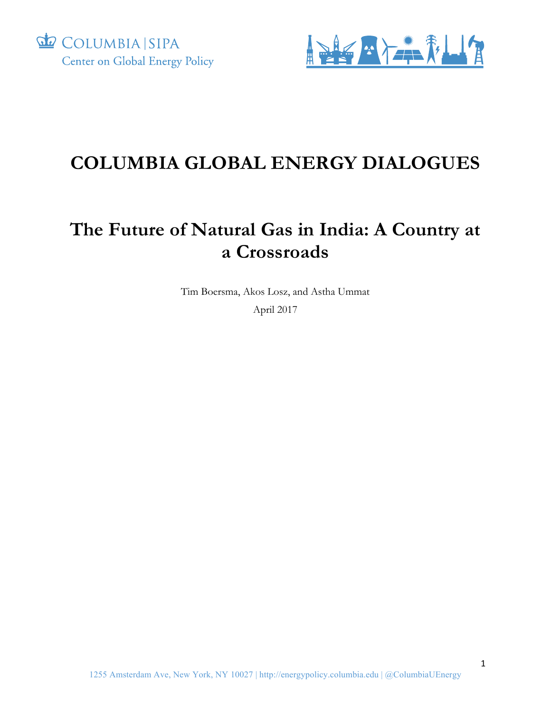



## **COLUMBIA GLOBAL ENERGY DIALOGUES**

## **The Future of Natural Gas in India: A Country at a Crossroads**

Tim Boersma, Akos Losz, and Astha Ummat April 2017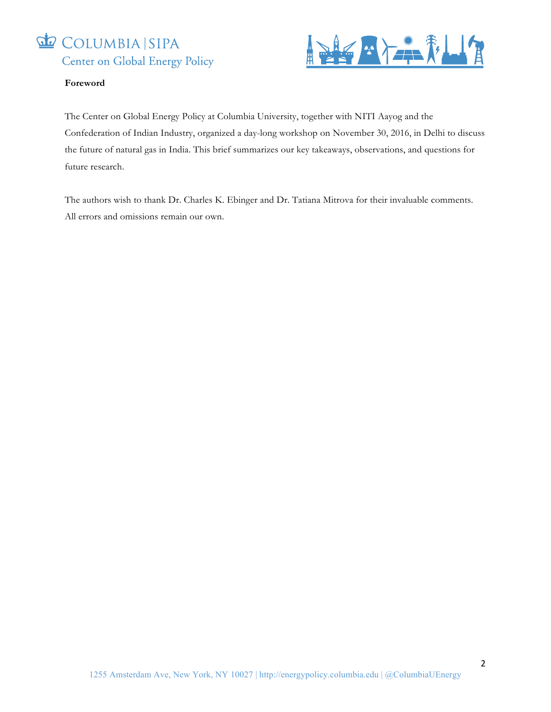



#### **Foreword**

The Center on Global Energy Policy at Columbia University, together with NITI Aayog and the Confederation of Indian Industry, organized a day-long workshop on November 30, 2016, in Delhi to discuss the future of natural gas in India. This brief summarizes our key takeaways, observations, and questions for future research.

The authors wish to thank Dr. Charles K. Ebinger and Dr. Tatiana Mitrova for their invaluable comments. All errors and omissions remain our own.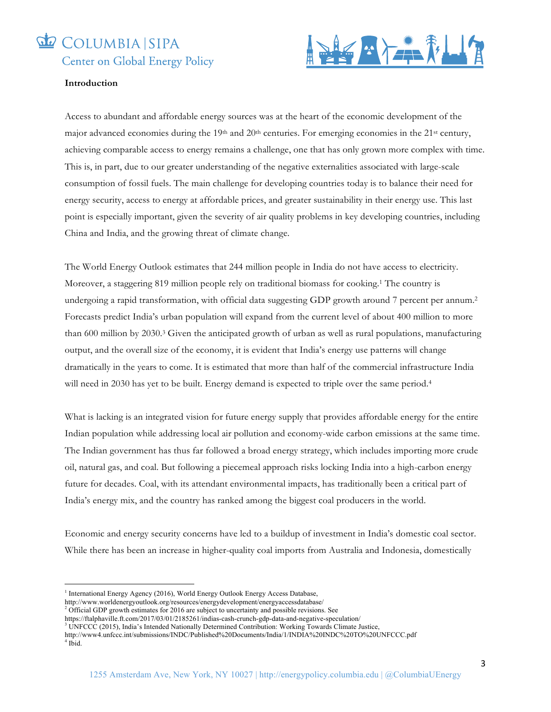## COLUMBIA SIPA



#### **Introduction**

Access to abundant and affordable energy sources was at the heart of the economic development of the major advanced economies during the 19th and 20th centuries. For emerging economies in the 21st century, achieving comparable access to energy remains a challenge, one that has only grown more complex with time. This is, in part, due to our greater understanding of the negative externalities associated with large-scale consumption of fossil fuels. The main challenge for developing countries today is to balance their need for energy security, access to energy at affordable prices, and greater sustainability in their energy use. This last point is especially important, given the severity of air quality problems in key developing countries, including China and India, and the growing threat of climate change.

The World Energy Outlook estimates that 244 million people in India do not have access to electricity. Moreover, a staggering 819 million people rely on traditional biomass for cooking.1 The country is undergoing a rapid transformation, with official data suggesting GDP growth around 7 percent per annum.2 Forecasts predict India's urban population will expand from the current level of about 400 million to more than 600 million by 2030.3 Given the anticipated growth of urban as well as rural populations, manufacturing output, and the overall size of the economy, it is evident that India's energy use patterns will change dramatically in the years to come. It is estimated that more than half of the commercial infrastructure India will need in 2030 has yet to be built. Energy demand is expected to triple over the same period.<sup>4</sup>

What is lacking is an integrated vision for future energy supply that provides affordable energy for the entire Indian population while addressing local air pollution and economy-wide carbon emissions at the same time. The Indian government has thus far followed a broad energy strategy, which includes importing more crude oil, natural gas, and coal. But following a piecemeal approach risks locking India into a high-carbon energy future for decades. Coal, with its attendant environmental impacts, has traditionally been a critical part of India's energy mix, and the country has ranked among the biggest coal producers in the world.

Economic and energy security concerns have led to a buildup of investment in India's domestic coal sector. While there has been an increase in higher-quality coal imports from Australia and Indonesia, domestically

<u> 1989 - Johann Barn, mars ann an t-Amhain an t-Amhain an t-Amhain an t-Amhain an t-Amhain an t-Amhain an t-Amh</u>

<sup>&</sup>lt;sup>1</sup> International Energy Agency (2016), World Energy Outlook Energy Access Database,

http://www.worldenergyoutlook.org/resources/energydevelopment/energyaccessdatabase/

<sup>&</sup>lt;sup>2</sup> Official GDP growth estimates for 2016 are subject to uncertainty and possible revisions. See

https://ftalphaville.ft.com/2017/03/01/2185261/indias-cash-crunch-gdp-data-and-negative-speculation/

<sup>3</sup> UNFCCC (2015), India's Intended Nationally Determined Contribution: Working Towards Climate Justice,

http://www4.unfccc.int/submissions/INDC/Published%20Documents/India/1/INDIA%20INDC%20TO%20UNFCCC.pdf  $4$  Ibid.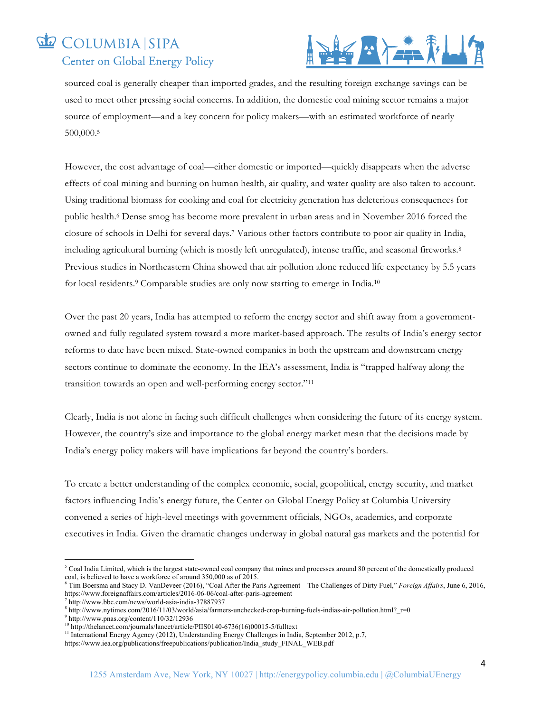# COLUMBIA SIPA



sourced coal is generally cheaper than imported grades, and the resulting foreign exchange savings can be used to meet other pressing social concerns. In addition, the domestic coal mining sector remains a major source of employment—and a key concern for policy makers—with an estimated workforce of nearly 500,000.5

However, the cost advantage of coal—either domestic or imported—quickly disappears when the adverse effects of coal mining and burning on human health, air quality, and water quality are also taken to account. Using traditional biomass for cooking and coal for electricity generation has deleterious consequences for public health. <sup>6</sup> Dense smog has become more prevalent in urban areas and in November 2016 forced the closure of schools in Delhi for several days.7 Various other factors contribute to poor air quality in India, including agricultural burning (which is mostly left unregulated), intense traffic, and seasonal fireworks.8 Previous studies in Northeastern China showed that air pollution alone reduced life expectancy by 5.5 years for local residents.9 Comparable studies are only now starting to emerge in India.10

Over the past 20 years, India has attempted to reform the energy sector and shift away from a governmentowned and fully regulated system toward a more market-based approach. The results of India's energy sector reforms to date have been mixed. State-owned companies in both the upstream and downstream energy sectors continue to dominate the economy. In the IEA's assessment, India is "trapped halfway along the transition towards an open and well-performing energy sector."11

Clearly, India is not alone in facing such difficult challenges when considering the future of its energy system. However, the country's size and importance to the global energy market mean that the decisions made by India's energy policy makers will have implications far beyond the country's borders.

To create a better understanding of the complex economic, social, geopolitical, energy security, and market factors influencing India's energy future, the Center on Global Energy Policy at Columbia University convened a series of high-level meetings with government officials, NGOs, academics, and corporate executives in India. Given the dramatic changes underway in global natural gas markets and the potential for

  $5$  Coal India Limited, which is the largest state-owned coal company that mines and processes around 80 percent of the domestically produced coal, is believed to have a workforce of around 350,000 as of 2015.

<sup>6</sup> Tim Boersma and Stacy D. VanDeveer (2016), "Coal After the Paris Agreement – The Challenges of Dirty Fuel," *Foreign Affairs*, June 6, 2016, https://www.foreignaffairs.com/articles/2016-06-06/coal-after-paris-agreement<sup>7</sup> http://www.bbc.com/news/world-asia-india-37887937

<sup>&</sup>lt;sup>8</sup> http://www.nytimes.com/2016/11/03/world/asia/farmers-unchecked-crop-burning-fuels-indias-air-pollution.html?\_r=0 <br><sup>9</sup> http://www.pnas.org/content/110/32/12936<br><sup>10</sup> http://thelancet.com/journals/lancet/article/PIIS0140

<sup>&</sup>lt;sup>11</sup> International Energy Agency (2012), Understanding Energy Challenges in India, September 2012, p.7,

https://www.iea.org/publications/freepublications/publication/India\_study\_FINAL\_WEB.pdf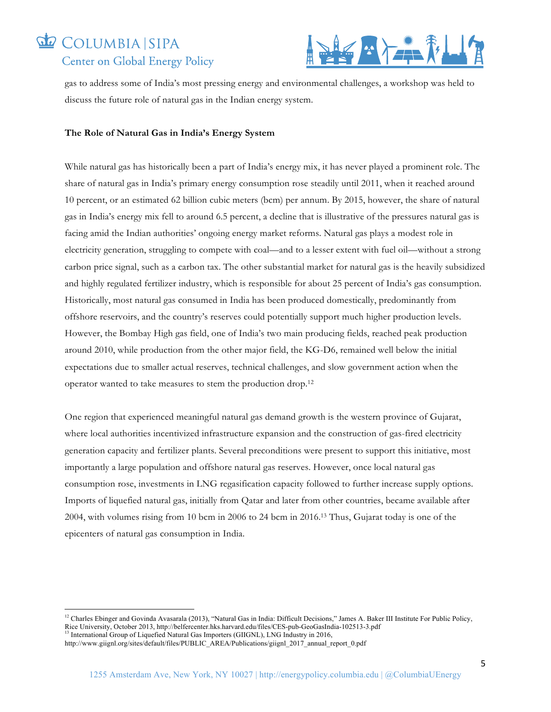# COLUMBIA SIPA



gas to address some of India's most pressing energy and environmental challenges, a workshop was held to discuss the future role of natural gas in the Indian energy system.

#### **The Role of Natural Gas in India's Energy System**

While natural gas has historically been a part of India's energy mix, it has never played a prominent role. The share of natural gas in India's primary energy consumption rose steadily until 2011, when it reached around 10 percent, or an estimated 62 billion cubic meters (bcm) per annum. By 2015, however, the share of natural gas in India's energy mix fell to around 6.5 percent, a decline that is illustrative of the pressures natural gas is facing amid the Indian authorities' ongoing energy market reforms. Natural gas plays a modest role in electricity generation, struggling to compete with coal—and to a lesser extent with fuel oil—without a strong carbon price signal, such as a carbon tax. The other substantial market for natural gas is the heavily subsidized and highly regulated fertilizer industry, which is responsible for about 25 percent of India's gas consumption. Historically, most natural gas consumed in India has been produced domestically, predominantly from offshore reservoirs, and the country's reserves could potentially support much higher production levels. However, the Bombay High gas field, one of India's two main producing fields, reached peak production around 2010, while production from the other major field, the KG-D6, remained well below the initial expectations due to smaller actual reserves, technical challenges, and slow government action when the operator wanted to take measures to stem the production drop.12

One region that experienced meaningful natural gas demand growth is the western province of Gujarat, where local authorities incentivized infrastructure expansion and the construction of gas-fired electricity generation capacity and fertilizer plants. Several preconditions were present to support this initiative, most importantly a large population and offshore natural gas reserves. However, once local natural gas consumption rose, investments in LNG regasification capacity followed to further increase supply options. Imports of liquefied natural gas, initially from Qatar and later from other countries, became available after 2004, with volumes rising from 10 bcm in 2006 to 24 bcm in 2016.13 Thus, Gujarat today is one of the epicenters of natural gas consumption in India.

<u> 1989 - Johann Barn, mars ann an t-Amhain an t-Amhain an t-Amhain an t-Amhain an t-Amhain an t-Amhain an t-Amh</u>

<sup>&</sup>lt;sup>12</sup> Charles Ebinger and Govinda Avasarala (2013), "Natural Gas in India: Difficult Decisions," James A. Baker III Institute For Public Policy, Rice University, October 2013, http://belfercenter.hks.harvard.edu/files/CES-pub-GeoGasIndia-102513-3.pdf <sup>13</sup> International Group of Liquefied Natural Gas Importers (GIIGNL), LNG Industry in 2016,

http://www.giignl.org/sites/default/files/PUBLIC\_AREA/Publications/giignl\_2017\_annual\_report\_0.pdf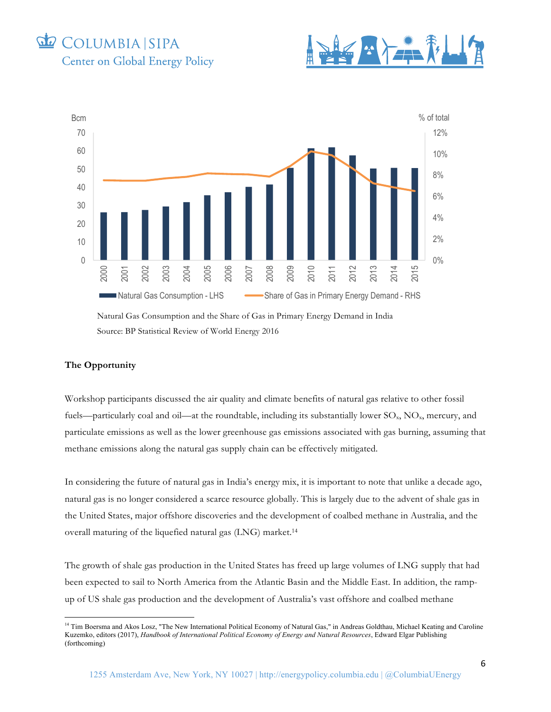





#### **The Opportunity**

<u> 1989 - Johann Barn, mars ann an t-Amhain an t-Amhain an t-Amhain an t-Amhain an t-Amhain an t-Amhain an t-Amh</u>

Workshop participants discussed the air quality and climate benefits of natural gas relative to other fossil fuels—particularly coal and oil—at the roundtable, including its substantially lower  $SO<sub>x</sub>$ , NO<sub>x</sub>, mercury, and particulate emissions as well as the lower greenhouse gas emissions associated with gas burning, assuming that methane emissions along the natural gas supply chain can be effectively mitigated.

In considering the future of natural gas in India's energy mix, it is important to note that unlike a decade ago, natural gas is no longer considered a scarce resource globally. This is largely due to the advent of shale gas in the United States, major offshore discoveries and the development of coalbed methane in Australia, and the overall maturing of the liquefied natural gas (LNG) market. 14

The growth of shale gas production in the United States has freed up large volumes of LNG supply that had been expected to sail to North America from the Atlantic Basin and the Middle East. In addition, the rampup of US shale gas production and the development of Australia's vast offshore and coalbed methane

<sup>&</sup>lt;sup>14</sup> Tim Boersma and Akos Losz, "The New International Political Economy of Natural Gas," in Andreas Goldthau, Michael Keating and Caroline Kuzemko, editors (2017), *Handbook of International Political Economy of Energy and Natural Resources*, Edward Elgar Publishing (forthcoming)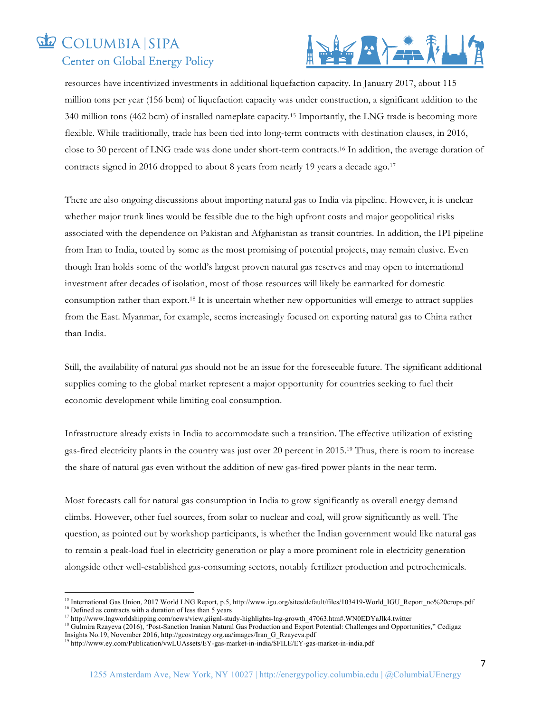

resources have incentivized investments in additional liquefaction capacity. In January 2017, about 115 million tons per year (156 bcm) of liquefaction capacity was under construction, a significant addition to the 340 million tons (462 bcm) of installed nameplate capacity.15 Importantly, the LNG trade is becoming more flexible. While traditionally, trade has been tied into long-term contracts with destination clauses, in 2016, close to 30 percent of LNG trade was done under short-term contracts.16 In addition, the average duration of contracts signed in 2016 dropped to about 8 years from nearly 19 years a decade ago. 17

There are also ongoing discussions about importing natural gas to India via pipeline. However, it is unclear whether major trunk lines would be feasible due to the high upfront costs and major geopolitical risks associated with the dependence on Pakistan and Afghanistan as transit countries. In addition, the IPI pipeline from Iran to India, touted by some as the most promising of potential projects, may remain elusive. Even though Iran holds some of the world's largest proven natural gas reserves and may open to international investment after decades of isolation, most of those resources will likely be earmarked for domestic consumption rather than export. <sup>18</sup> It is uncertain whether new opportunities will emerge to attract supplies from the East. Myanmar, for example, seems increasingly focused on exporting natural gas to China rather than India.

Still, the availability of natural gas should not be an issue for the foreseeable future. The significant additional supplies coming to the global market represent a major opportunity for countries seeking to fuel their economic development while limiting coal consumption.

Infrastructure already exists in India to accommodate such a transition. The effective utilization of existing gas-fired electricity plants in the country was just over 20 percent in 2015.19 Thus, there is room to increase the share of natural gas even without the addition of new gas-fired power plants in the near term.

Most forecasts call for natural gas consumption in India to grow significantly as overall energy demand climbs. However, other fuel sources, from solar to nuclear and coal, will grow significantly as well. The question, as pointed out by workshop participants, is whether the Indian government would like natural gas to remain a peak-load fuel in electricity generation or play a more prominent role in electricity generation alongside other well-established gas-consuming sectors, notably fertilizer production and petrochemicals.

<sup>18</sup> Gulmira Rzayeva (2016), 'Post-Sanction Iranian Natural Gas Production and Export Potential: Challenges and Opportunities," Cedigaz Insights No.19, November 2016, http://geostrategy.org.ua/images/Iran\_G\_Rzayeva.pdf

 

<sup>&</sup>lt;sup>15</sup> International Gas Union, 2017 World LNG Report, p.5, http://www.igu.org/sites/default/files/103419-World\_IGU\_Report\_no%20crops.pdf <sup>16</sup> Defined as contracts with a duration of less than 5 years

<sup>17</sup> http://www.lngworldshipping.com/news/view,giignl-study-highlights-lng-growth\_47063.htm#.WN0EDYaJlk4.twitter

<sup>19</sup> http://www.ey.com/Publication/vwLUAssets/EY-gas-market-in-india/\$FILE/EY-gas-market-in-india.pdf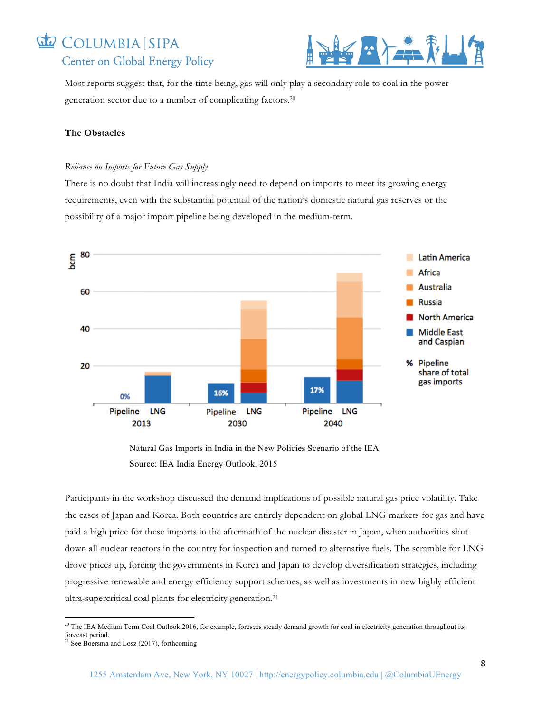

Most reports suggest that, for the time being, gas will only play a secondary role to coal in the power generation sector due to a number of complicating factors. 20

#### **The Obstacles**

#### *Reliance on Imports for Future Gas Supply*

There is no doubt that India will increasingly need to depend on imports to meet its growing energy requirements, even with the substantial potential of the nation's domestic natural gas reserves or the possibility of a major import pipeline being developed in the medium-term.



Natural Gas Imports in India in the New Policies Scenario of the IEA Source: IEA India Energy Outlook, 2015

Participants in the workshop discussed the demand implications of possible natural gas price volatility. Take the cases of Japan and Korea. Both countries are entirely dependent on global LNG markets for gas and have paid a high price for these imports in the aftermath of the nuclear disaster in Japan, when authorities shut down all nuclear reactors in the country for inspection and turned to alternative fuels. The scramble for LNG drove prices up, forcing the governments in Korea and Japan to develop diversification strategies, including progressive renewable and energy efficiency support schemes, as well as investments in new highly efficient ultra-supercritical coal plants for electricity generation.21

<u> 1989 - Johann Barn, mars ann an t-Amhain an t-Amhain an t-Amhain an t-Amhain an t-Amhain an t-Amhain an t-Amh</u>

 $20$  The IEA Medium Term Coal Outlook 2016, for example, foresees steady demand growth for coal in electricity generation throughout its forecast period.

 $21$  See Boersma and Losz (2017), forthcoming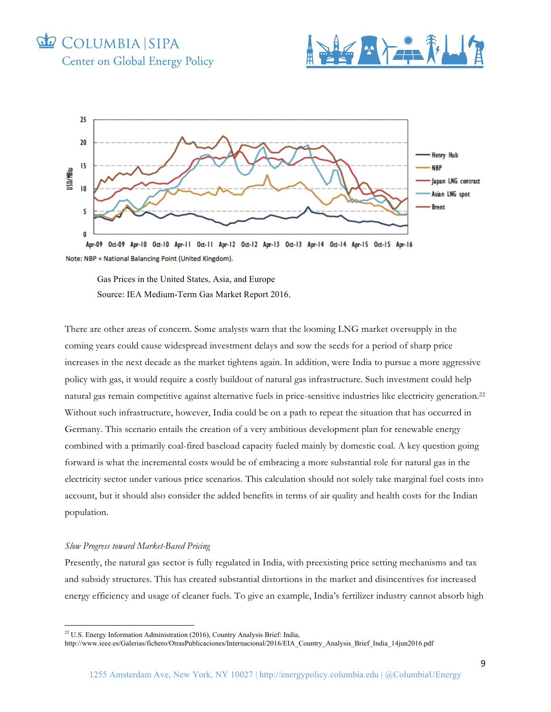





Apr-09 Oct-09 Apr-10 Oct-10 Apr-11 Oct-11 Apr-12 Oct-12 Apr-13 Oct-13 Apr-14 Oct-14 Apr-15 Oct-15 Apr-16 Note: NBP = National Balancing Point (United Kingdom).

Gas Prices in the United States, Asia, and Europe Source: IEA Medium-Term Gas Market Report 2016.

There are other areas of concern. Some analysts warn that the looming LNG market oversupply in the coming years could cause widespread investment delays and sow the seeds for a period of sharp price increases in the next decade as the market tightens again. In addition, were India to pursue a more aggressive policy with gas, it would require a costly buildout of natural gas infrastructure. Such investment could help natural gas remain competitive against alternative fuels in price-sensitive industries like electricity generation. 22 Without such infrastructure, however, India could be on a path to repeat the situation that has occurred in Germany. This scenario entails the creation of a very ambitious development plan for renewable energy combined with a primarily coal-fired baseload capacity fueled mainly by domestic coal. A key question going forward is what the incremental costs would be of embracing a more substantial role for natural gas in the electricity sector under various price scenarios. This calculation should not solely take marginal fuel costs into account, but it should also consider the added benefits in terms of air quality and health costs for the Indian population.

#### *Slow Progress toward Market-Based Pricing*

<u> 1989 - Johann Barn, mars ann an t-Amhain an t-Amhain an t-Amhain an t-Amhain an t-Amhain an t-Amhain an t-Amh</u>

Presently, the natural gas sector is fully regulated in India, with preexisting price setting mechanisms and tax and subsidy structures. This has created substantial distortions in the market and disincentives for increased energy efficiency and usage of cleaner fuels. To give an example, India's fertilizer industry cannot absorb high

<sup>&</sup>lt;sup>22</sup> U.S. Energy Information Administration (2016), Country Analysis Brief: India,

http://www.ieee.es/Galerias/fichero/OtrasPublicaciones/Internacional/2016/EIA\_Country\_Analysis\_Brief\_India\_14jun2016.pdf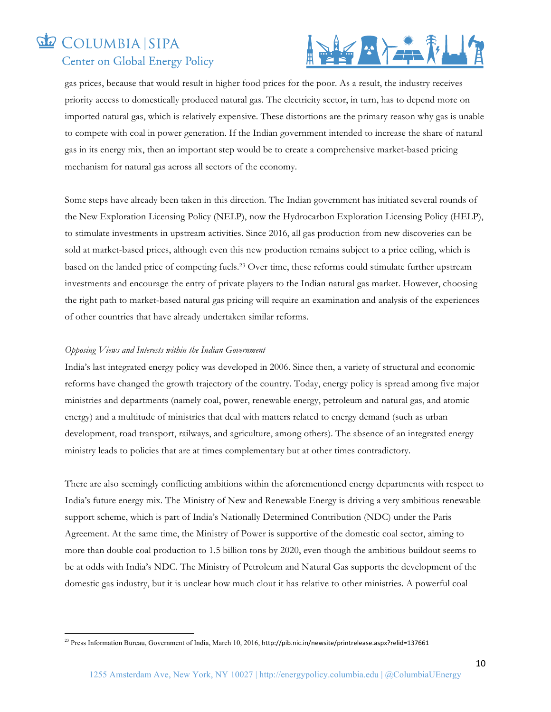

gas prices, because that would result in higher food prices for the poor. As a result, the industry receives priority access to domestically produced natural gas. The electricity sector, in turn, has to depend more on imported natural gas, which is relatively expensive. These distortions are the primary reason why gas is unable to compete with coal in power generation. If the Indian government intended to increase the share of natural gas in its energy mix, then an important step would be to create a comprehensive market-based pricing mechanism for natural gas across all sectors of the economy.

Some steps have already been taken in this direction. The Indian government has initiated several rounds of the New Exploration Licensing Policy (NELP), now the Hydrocarbon Exploration Licensing Policy (HELP), to stimulate investments in upstream activities. Since 2016, all gas production from new discoveries can be sold at market-based prices, although even this new production remains subject to a price ceiling, which is based on the landed price of competing fuels.23 Over time, these reforms could stimulate further upstream investments and encourage the entry of private players to the Indian natural gas market. However, choosing the right path to market-based natural gas pricing will require an examination and analysis of the experiences of other countries that have already undertaken similar reforms.

#### *Opposing Views and Interests within the Indian Government*

<u> 1989 - Johann Barn, mars ann an t-Amhain an t-Amhain an t-Amhain an t-Amhain an t-Amhain an t-Amhain an t-Amh</u>

India's last integrated energy policy was developed in 2006. Since then, a variety of structural and economic reforms have changed the growth trajectory of the country. Today, energy policy is spread among five major ministries and departments (namely coal, power, renewable energy, petroleum and natural gas, and atomic energy) and a multitude of ministries that deal with matters related to energy demand (such as urban development, road transport, railways, and agriculture, among others). The absence of an integrated energy ministry leads to policies that are at times complementary but at other times contradictory.

There are also seemingly conflicting ambitions within the aforementioned energy departments with respect to India's future energy mix. The Ministry of New and Renewable Energy is driving a very ambitious renewable support scheme, which is part of India's Nationally Determined Contribution (NDC) under the Paris Agreement. At the same time, the Ministry of Power is supportive of the domestic coal sector, aiming to more than double coal production to 1.5 billion tons by 2020, even though the ambitious buildout seems to be at odds with India's NDC. The Ministry of Petroleum and Natural Gas supports the development of the domestic gas industry, but it is unclear how much clout it has relative to other ministries. A powerful coal

<sup>&</sup>lt;sup>23</sup> Press Information Bureau, Government of India, March 10, 2016, http://pib.nic.in/newsite/printrelease.aspx?relid=137661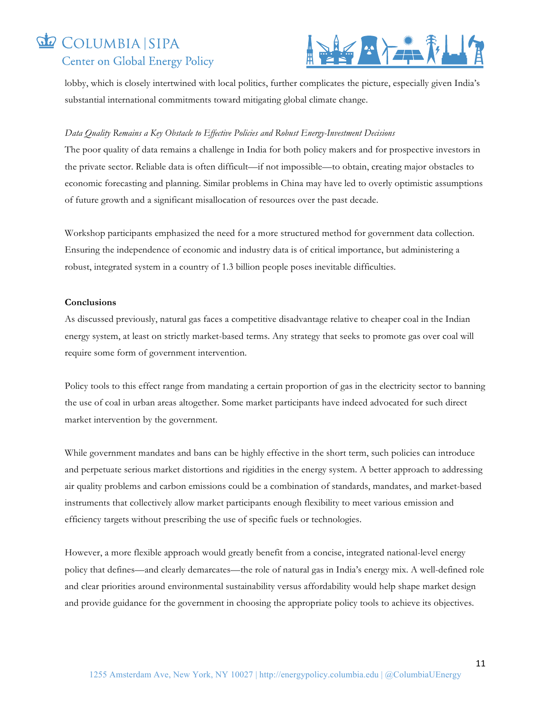

lobby, which is closely intertwined with local politics, further complicates the picture, especially given India's substantial international commitments toward mitigating global climate change.

#### *Data Quality Remains a Key Obstacle to Effective Policies and Robust Energy-Investment Decisions*

The poor quality of data remains a challenge in India for both policy makers and for prospective investors in the private sector. Reliable data is often difficult—if not impossible—to obtain, creating major obstacles to economic forecasting and planning. Similar problems in China may have led to overly optimistic assumptions of future growth and a significant misallocation of resources over the past decade.

Workshop participants emphasized the need for a more structured method for government data collection. Ensuring the independence of economic and industry data is of critical importance, but administering a robust, integrated system in a country of 1.3 billion people poses inevitable difficulties.

#### **Conclusions**

As discussed previously, natural gas faces a competitive disadvantage relative to cheaper coal in the Indian energy system, at least on strictly market-based terms. Any strategy that seeks to promote gas over coal will require some form of government intervention.

Policy tools to this effect range from mandating a certain proportion of gas in the electricity sector to banning the use of coal in urban areas altogether. Some market participants have indeed advocated for such direct market intervention by the government.

While government mandates and bans can be highly effective in the short term, such policies can introduce and perpetuate serious market distortions and rigidities in the energy system. A better approach to addressing air quality problems and carbon emissions could be a combination of standards, mandates, and market-based instruments that collectively allow market participants enough flexibility to meet various emission and efficiency targets without prescribing the use of specific fuels or technologies.

However, a more flexible approach would greatly benefit from a concise, integrated national-level energy policy that defines—and clearly demarcates—the role of natural gas in India's energy mix. A well-defined role and clear priorities around environmental sustainability versus affordability would help shape market design and provide guidance for the government in choosing the appropriate policy tools to achieve its objectives.